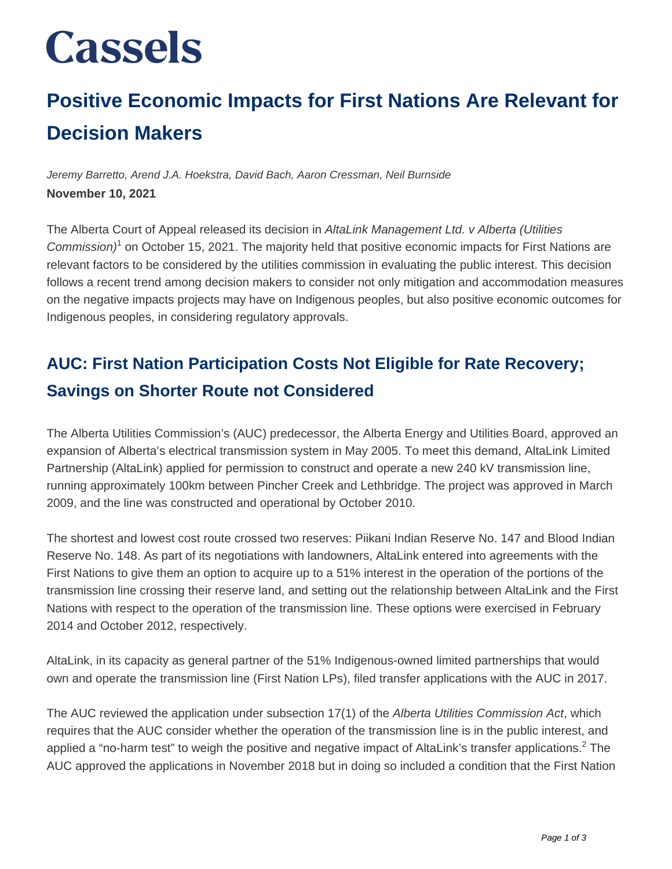## **Cassels**

### **Positive Economic Impacts for First Nations Are Relevant for Decision Makers**

Jeremy Barretto, Arend J.A. Hoekstra, David Bach, Aaron Cressman, Neil Burnside **November 10, 2021**

The Alberta Court of Appeal released its decision in AltaLink Management Ltd. v Alberta (Utilities Commission)<sup>1</sup> on October 15, 2021. The majority held that positive economic impacts for First Nations are relevant factors to be considered by the utilities commission in evaluating the public interest. This decision follows a recent trend among decision makers to consider not only mitigation and accommodation measures on the negative impacts projects may have on Indigenous peoples, but also positive economic outcomes for Indigenous peoples, in considering regulatory approvals.

#### **AUC: First Nation Participation Costs Not Eligible for Rate Recovery; Savings on Shorter Route not Considered**

The Alberta Utilities Commission's (AUC) predecessor, the Alberta Energy and Utilities Board, approved an expansion of Alberta's electrical transmission system in May 2005. To meet this demand, AltaLink Limited Partnership (AltaLink) applied for permission to construct and operate a new 240 kV transmission line, running approximately 100km between Pincher Creek and Lethbridge. The project was approved in March 2009, and the line was constructed and operational by October 2010.

The shortest and lowest cost route crossed two reserves: Piikani Indian Reserve No. 147 and Blood Indian Reserve No. 148. As part of its negotiations with landowners, AltaLink entered into agreements with the First Nations to give them an option to acquire up to a 51% interest in the operation of the portions of the transmission line crossing their reserve land, and setting out the relationship between AltaLink and the First Nations with respect to the operation of the transmission line. These options were exercised in February 2014 and October 2012, respectively.

AltaLink, in its capacity as general partner of the 51% Indigenous-owned limited partnerships that would own and operate the transmission line (First Nation LPs), filed transfer applications with the AUC in 2017.

The AUC reviewed the application under subsection 17(1) of the Alberta Utilities Commission Act, which requires that the AUC consider whether the operation of the transmission line is in the public interest, and applied a "no-harm test" to weigh the positive and negative impact of AltaLink's transfer applications.<sup>2</sup> The AUC approved the applications in November 2018 but in doing so included a condition that the First Nation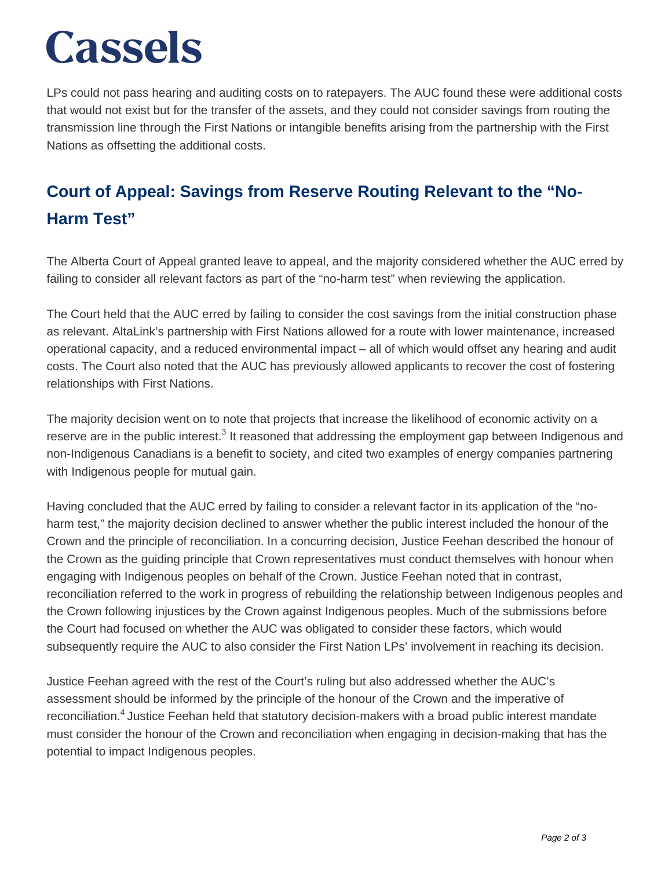## **Cassels**

LPs could not pass hearing and auditing costs on to ratepayers. The AUC found these were additional costs that would not exist but for the transfer of the assets, and they could not consider savings from routing the transmission line through the First Nations or intangible benefits arising from the partnership with the First Nations as offsetting the additional costs.

#### **Court of Appeal: Savings from Reserve Routing Relevant to the "No-Harm Test"**

The Alberta Court of Appeal granted leave to appeal, and the majority considered whether the AUC erred by failing to consider all relevant factors as part of the "no-harm test" when reviewing the application.

The Court held that the AUC erred by failing to consider the cost savings from the initial construction phase as relevant. AltaLink's partnership with First Nations allowed for a route with lower maintenance, increased operational capacity, and a reduced environmental impact – all of which would offset any hearing and audit costs. The Court also noted that the AUC has previously allowed applicants to recover the cost of fostering relationships with First Nations.

The majority decision went on to note that projects that increase the likelihood of economic activity on a reserve are in the public interest.<sup>3</sup> It reasoned that addressing the employment gap between Indigenous and non-Indigenous Canadians is a benefit to society, and cited two examples of energy companies partnering with Indigenous people for mutual gain.

Having concluded that the AUC erred by failing to consider a relevant factor in its application of the "noharm test," the majority decision declined to answer whether the public interest included the honour of the Crown and the principle of reconciliation. In a concurring decision, Justice Feehan described the honour of the Crown as the guiding principle that Crown representatives must conduct themselves with honour when engaging with Indigenous peoples on behalf of the Crown. Justice Feehan noted that in contrast, reconciliation referred to the work in progress of rebuilding the relationship between Indigenous peoples and the Crown following injustices by the Crown against Indigenous peoples. Much of the submissions before the Court had focused on whether the AUC was obligated to consider these factors, which would subsequently require the AUC to also consider the First Nation LPs' involvement in reaching its decision.

Justice Feehan agreed with the rest of the Court's ruling but also addressed whether the AUC's assessment should be informed by the principle of the honour of the Crown and the imperative of reconciliation.<sup>4</sup> Justice Feehan held that statutory decision-makers with a broad public interest mandate must consider the honour of the Crown and reconciliation when engaging in decision-making that has the potential to impact Indigenous peoples.